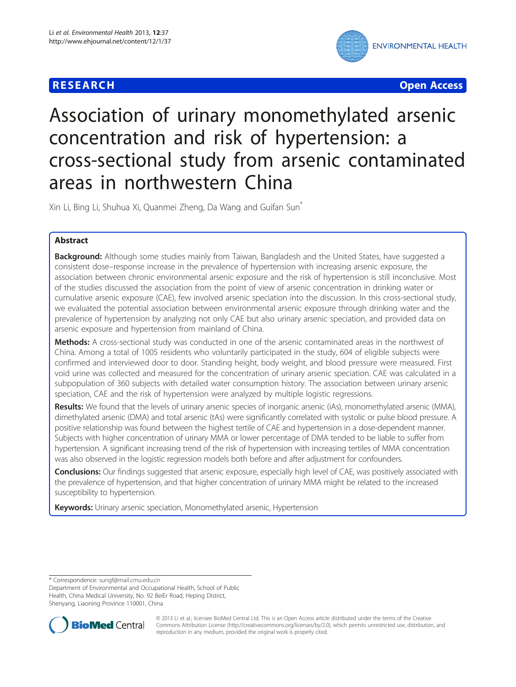# **RESEARCH CHE Open Access**



# Association of urinary monomethylated arsenic concentration and risk of hypertension: a cross-sectional study from arsenic contaminated areas in northwestern China

Xin Li, Bing Li, Shuhua Xi, Quanmei Zheng, Da Wang and Guifan Sun\*

# Abstract

Background: Although some studies mainly from Taiwan, Bangladesh and the United States, have suggested a consistent dose–response increase in the prevalence of hypertension with increasing arsenic exposure, the association between chronic environmental arsenic exposure and the risk of hypertension is still inconclusive. Most of the studies discussed the association from the point of view of arsenic concentration in drinking water or cumulative arsenic exposure (CAE), few involved arsenic speciation into the discussion. In this cross-sectional study, we evaluated the potential association between environmental arsenic exposure through drinking water and the prevalence of hypertension by analyzing not only CAE but also urinary arsenic speciation, and provided data on arsenic exposure and hypertension from mainland of China.

Methods: A cross-sectional study was conducted in one of the arsenic contaminated areas in the northwest of China. Among a total of 1005 residents who voluntarily participated in the study, 604 of eligible subjects were confirmed and interviewed door to door. Standing height, body weight, and blood pressure were measured. First void urine was collected and measured for the concentration of urinary arsenic speciation. CAE was calculated in a subpopulation of 360 subjects with detailed water consumption history. The association between urinary arsenic speciation, CAE and the risk of hypertension were analyzed by multiple logistic regressions.

Results: We found that the levels of urinary arsenic species of inorganic arsenic (iAs), monomethylated arsenic (MMA), dimethylated arsenic (DMA) and total arsenic (tAs) were significantly correlated with systolic or pulse blood pressure. A positive relationship was found between the highest tertile of CAE and hypertension in a dose-dependent manner. Subjects with higher concentration of urinary MMA or lower percentage of DMA tended to be liable to suffer from hypertension. A significant increasing trend of the risk of hypertension with increasing tertiles of MMA concentration was also observed in the logistic regression models both before and after adjustment for confounders.

Conclusions: Our findings suggested that arsenic exposure, especially high level of CAE, was positively associated with the prevalence of hypertension, and that higher concentration of urinary MMA might be related to the increased susceptibility to hypertension.

Keywords: Urinary arsenic speciation, Monomethylated arsenic, Hypertension

\* Correspondence: [sungf@mail.cmu.edu.cn](mailto:sungf@mail.cmu.edu.cn)

Department of Environmental and Occupational Health, School of Public Health, China Medical University, No. 92 BeiEr Road, Heping District, Shenyang, Liaoning Province 110001, China



© 2013 Li et al.; licensee BioMed Central Ltd. This is an Open Access article distributed under the terms of the Creative Commons Attribution License [\(http://creativecommons.org/licenses/by/2.0\)](http://creativecommons.org/licenses/by/2.0), which permits unrestricted use, distribution, and reproduction in any medium, provided the original work is properly cited.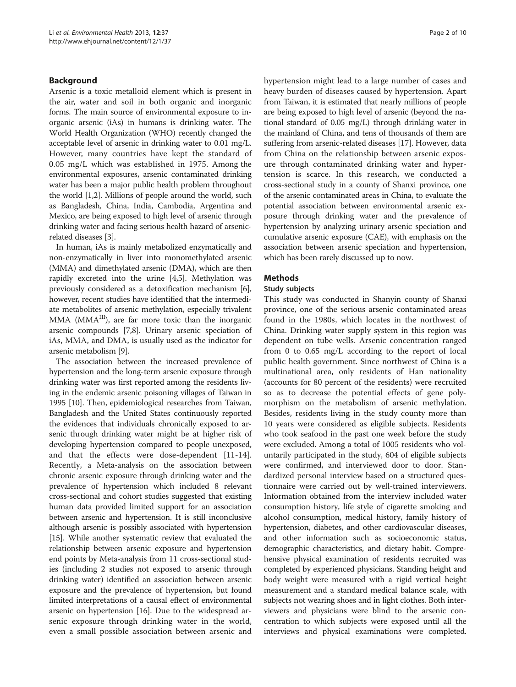# Background

Arsenic is a toxic metalloid element which is present in the air, water and soil in both organic and inorganic forms. The main source of environmental exposure to inorganic arsenic (iAs) in humans is drinking water. The World Health Organization (WHO) recently changed the acceptable level of arsenic in drinking water to 0.01 mg/L. However, many countries have kept the standard of 0.05 mg/L which was established in 1975. Among the environmental exposures, arsenic contaminated drinking water has been a major public health problem throughout the world [\[1](#page-7-0)[,2](#page-8-0)]. Millions of people around the world, such as Bangladesh, China, India, Cambodia, Argentina and Mexico, are being exposed to high level of arsenic through drinking water and facing serious health hazard of arsenicrelated diseases [[3\]](#page-8-0).

In human, iAs is mainly metabolized enzymatically and non-enzymatically in liver into monomethylated arsenic (MMA) and dimethylated arsenic (DMA), which are then rapidly excreted into the urine [[4,5](#page-8-0)]. Methylation was previously considered as a detoxification mechanism [[6](#page-8-0)], however, recent studies have identified that the intermediate metabolites of arsenic methylation, especially trivalent  $MMA$  ( $MMA$ <sup>III</sup>), are far more toxic than the inorganic arsenic compounds [\[7,8](#page-8-0)]. Urinary arsenic speciation of iAs, MMA, and DMA, is usually used as the indicator for arsenic metabolism [\[9](#page-8-0)].

The association between the increased prevalence of hypertension and the long-term arsenic exposure through drinking water was first reported among the residents living in the endemic arsenic poisoning villages of Taiwan in 1995 [\[10\]](#page-8-0). Then, epidemiological researches from Taiwan, Bangladesh and the United States continuously reported the evidences that individuals chronically exposed to arsenic through drinking water might be at higher risk of developing hypertension compared to people unexposed, and that the effects were dose-dependent [\[11](#page-8-0)-[14](#page-8-0)]. Recently, a Meta-analysis on the association between chronic arsenic exposure through drinking water and the prevalence of hypertension which included 8 relevant cross-sectional and cohort studies suggested that existing human data provided limited support for an association between arsenic and hypertension. It is still inconclusive although arsenic is possibly associated with hypertension [[15](#page-8-0)]. While another systematic review that evaluated the relationship between arsenic exposure and hypertension end points by Meta-analysis from 11 cross-sectional studies (including 2 studies not exposed to arsenic through drinking water) identified an association between arsenic exposure and the prevalence of hypertension, but found limited interpretations of a causal effect of environmental arsenic on hypertension [[16](#page-8-0)]. Due to the widespread arsenic exposure through drinking water in the world, even a small possible association between arsenic and

hypertension might lead to a large number of cases and heavy burden of diseases caused by hypertension. Apart from Taiwan, it is estimated that nearly millions of people are being exposed to high level of arsenic (beyond the national standard of 0.05 mg/L) through drinking water in the mainland of China, and tens of thousands of them are suffering from arsenic-related diseases [\[17](#page-8-0)]. However, data from China on the relationship between arsenic exposure through contaminated drinking water and hypertension is scarce. In this research, we conducted a cross-sectional study in a county of Shanxi province, one of the arsenic contaminated areas in China, to evaluate the potential association between environmental arsenic exposure through drinking water and the prevalence of hypertension by analyzing urinary arsenic speciation and cumulative arsenic exposure (CAE), with emphasis on the association between arsenic speciation and hypertension, which has been rarely discussed up to now.

# **Methods**

#### Study subjects

This study was conducted in Shanyin county of Shanxi province, one of the serious arsenic contaminated areas found in the 1980s, which locates in the northwest of China. Drinking water supply system in this region was dependent on tube wells. Arsenic concentration ranged from 0 to 0.65 mg/L according to the report of local public health government. Since northwest of China is a multinational area, only residents of Han nationality (accounts for 80 percent of the residents) were recruited so as to decrease the potential effects of gene polymorphism on the metabolism of arsenic methylation. Besides, residents living in the study county more than 10 years were considered as eligible subjects. Residents who took seafood in the past one week before the study were excluded. Among a total of 1005 residents who voluntarily participated in the study, 604 of eligible subjects were confirmed, and interviewed door to door. Standardized personal interview based on a structured questionnaire were carried out by well-trained interviewers. Information obtained from the interview included water consumption history, life style of cigarette smoking and alcohol consumption, medical history, family history of hypertension, diabetes, and other cardiovascular diseases, and other information such as socioeconomic status, demographic characteristics, and dietary habit. Comprehensive physical examination of residents recruited was completed by experienced physicians. Standing height and body weight were measured with a rigid vertical height measurement and a standard medical balance scale, with subjects not wearing shoes and in light clothes. Both interviewers and physicians were blind to the arsenic concentration to which subjects were exposed until all the interviews and physical examinations were completed.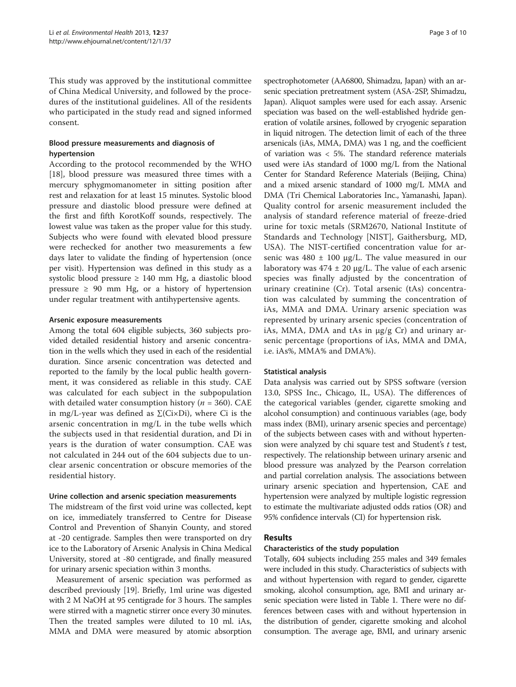This study was approved by the institutional committee of China Medical University, and followed by the procedures of the institutional guidelines. All of the residents who participated in the study read and signed informed consent.

# Blood pressure measurements and diagnosis of hypertension

According to the protocol recommended by the WHO [[18\]](#page-8-0), blood pressure was measured three times with a mercury sphygmomanometer in sitting position after rest and relaxation for at least 15 minutes. Systolic blood pressure and diastolic blood pressure were defined at the first and fifth KorotKoff sounds, respectively. The lowest value was taken as the proper value for this study. Subjects who were found with elevated blood pressure were rechecked for another two measurements a few days later to validate the finding of hypertension (once per visit). Hypertension was defined in this study as a systolic blood pressure  $\geq 140$  mm Hg, a diastolic blood pressure  $\geq 90$  mm Hg, or a history of hypertension under regular treatment with antihypertensive agents.

## Arsenic exposure measurements

Among the total 604 eligible subjects, 360 subjects provided detailed residential history and arsenic concentration in the wells which they used in each of the residential duration. Since arsenic concentration was detected and reported to the family by the local public health government, it was considered as reliable in this study. CAE was calculated for each subject in the subpopulation with detailed water consumption history ( $n = 360$ ). CAE in mg/L-year was defined as  $\Sigma$ (Ci×Di), where Ci is the arsenic concentration in mg/L in the tube wells which the subjects used in that residential duration, and Di in years is the duration of water consumption. CAE was not calculated in 244 out of the 604 subjects due to unclear arsenic concentration or obscure memories of the residential history.

#### Urine collection and arsenic speciation measurements

The midstream of the first void urine was collected, kept on ice, immediately transferred to Centre for Disease Control and Prevention of Shanyin County, and stored at -20 centigrade. Samples then were transported on dry ice to the Laboratory of Arsenic Analysis in China Medical University, stored at -80 centigrade, and finally measured for urinary arsenic speciation within 3 months.

Measurement of arsenic speciation was performed as described previously [[19](#page-8-0)]. Briefly, 1ml urine was digested with 2 M NaOH at 95 centigrade for 3 hours. The samples were stirred with a magnetic stirrer once every 30 minutes. Then the treated samples were diluted to 10 ml. iAs, MMA and DMA were measured by atomic absorption

spectrophotometer (AA6800, Shimadzu, Japan) with an arsenic speciation pretreatment system (ASA-2SP, Shimadzu, Japan). Aliquot samples were used for each assay. Arsenic speciation was based on the well-established hydride generation of volatile arsines, followed by cryogenic separation in liquid nitrogen. The detection limit of each of the three arsenicals (iAs, MMA, DMA) was 1 ng, and the coefficient of variation was < 5%. The standard reference materials used were iAs standard of 1000 mg/L from the National Center for Standard Reference Materials (Beijing, China) and a mixed arsenic standard of 1000 mg/L MMA and DMA (Tri Chemical Laboratories Inc., Yamanashi, Japan). Quality control for arsenic measurement included the analysis of standard reference material of freeze-dried urine for toxic metals (SRM2670, National Institute of Standards and Technology [NIST], Gaithersburg, MD, USA). The NIST-certified concentration value for arsenic was  $480 \pm 100 \text{ µg/L}$ . The value measured in our laboratory was  $474 \pm 20 \mu g/L$ . The value of each arsenic species was finally adjusted by the concentration of urinary creatinine (Cr). Total arsenic (tAs) concentration was calculated by summing the concentration of iAs, MMA and DMA. Urinary arsenic speciation was represented by urinary arsenic species (concentration of iAs, MMA, DMA and tAs in μg/g Cr) and urinary arsenic percentage (proportions of iAs, MMA and DMA, i.e. iAs%, MMA% and DMA%).

# Statistical analysis

Data analysis was carried out by SPSS software (version 13.0, SPSS Inc., Chicago, IL, USA). The differences of the categorical variables (gender, cigarette smoking and alcohol consumption) and continuous variables (age, body mass index (BMI), urinary arsenic species and percentage) of the subjects between cases with and without hypertension were analyzed by chi square test and Student's  $t$  test, respectively. The relationship between urinary arsenic and blood pressure was analyzed by the Pearson correlation and partial correlation analysis. The associations between urinary arsenic speciation and hypertension, CAE and hypertension were analyzed by multiple logistic regression to estimate the multivariate adjusted odds ratios (OR) and 95% confidence intervals (CI) for hypertension risk.

# Results

#### Characteristics of the study population

Totally, 604 subjects including 255 males and 349 females were included in this study. Characteristics of subjects with and without hypertension with regard to gender, cigarette smoking, alcohol consumption, age, BMI and urinary arsenic speciation were listed in Table [1](#page-3-0). There were no differences between cases with and without hypertension in the distribution of gender, cigarette smoking and alcohol consumption. The average age, BMI, and urinary arsenic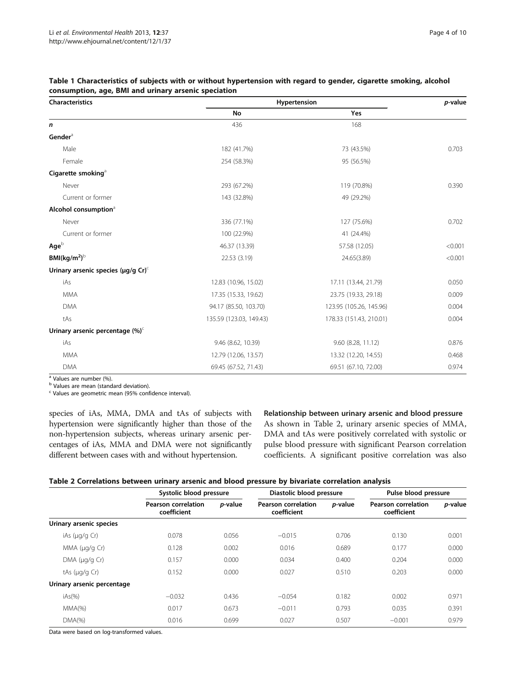| <b>Characteristics</b>                               | Hypertension            | <i>p</i> -value         |         |
|------------------------------------------------------|-------------------------|-------------------------|---------|
|                                                      | <b>No</b>               | Yes                     |         |
| n                                                    | 436                     | 168                     |         |
| Gender <sup>a</sup>                                  |                         |                         |         |
| Male                                                 | 182 (41.7%)             | 73 (43.5%)              | 0.703   |
| Female                                               | 254 (58.3%)             | 95 (56.5%)              |         |
| Cigarette smoking <sup>a</sup>                       |                         |                         |         |
| Never                                                | 293 (67.2%)             | 119 (70.8%)             | 0.390   |
| Current or former                                    | 143 (32.8%)             | 49 (29.2%)              |         |
| Alcohol consumption <sup>a</sup>                     |                         |                         |         |
| Never                                                | 336 (77.1%)             | 127 (75.6%)             | 0.702   |
| Current or former                                    | 100 (22.9%)             | 41 (24.4%)              |         |
| $Age^{\circ}$                                        | 46.37 (13.39)           | 57.58 (12.05)           | < 0.001 |
| $BMl(kg/m^2)^b$                                      | 22.53 (3.19)            | 24.65(3.89)             | < 0.001 |
| Urinary arsenic species ( $\mu$ g/g Cr) <sup>c</sup> |                         |                         |         |
| iAs                                                  | 12.83 (10.96, 15.02)    | 17.11 (13.44, 21.79)    | 0.050   |
| <b>MMA</b>                                           | 17.35 (15.33, 19.62)    | 23.75 (19.33, 29.18)    | 0.009   |
| <b>DMA</b>                                           | 94.17 (85.50, 103.70)   | 123.95 (105.26, 145.96) | 0.004   |
| tAs                                                  | 135.59 (123.03, 149.43) | 178.33 (151.43, 210.01) | 0.004   |
| Urinary arsenic percentage (%) <sup>c</sup>          |                         |                         |         |
| iAs                                                  | 9.46 (8.62, 10.39)      | 9.60 (8.28, 11.12)      | 0.876   |
| <b>MMA</b>                                           | 12.79 (12.06, 13.57)    | 13.32 (12.20, 14.55)    | 0.468   |
| <b>DMA</b>                                           | 69.45 (67.52, 71.43)    | 69.51 (67.10, 72.00)    | 0.974   |

# <span id="page-3-0"></span>Table 1 Characteristics of subjects with or without hypertension with regard to gender, cigarette smoking, alcohol consumption, age, BMI and urinary arsenic speciation

 $\frac{a}{a}$  Values are number (%).

<sup>b</sup> Values are mean (standard deviation).

<sup>c</sup> Values are geometric mean (95% confidence interval).

species of iAs, MMA, DMA and tAs of subjects with hypertension were significantly higher than those of the non-hypertension subjects, whereas urinary arsenic percentages of iAs, MMA and DMA were not significantly different between cases with and without hypertension.

Relationship between urinary arsenic and blood pressure As shown in Table 2, urinary arsenic species of MMA, DMA and tAs were positively correlated with systolic or pulse blood pressure with significant Pearson correlation coefficients. A significant positive correlation was also

| Table 2 Correlations between urinary arsenic and blood pressure by bivariate correlation analysis |  |  |
|---------------------------------------------------------------------------------------------------|--|--|
|---------------------------------------------------------------------------------------------------|--|--|

|                            | Systolic blood pressure                   |                 | Diastolic blood pressure                  |                 | Pulse blood pressure                      |                 |
|----------------------------|-------------------------------------------|-----------------|-------------------------------------------|-----------------|-------------------------------------------|-----------------|
|                            | <b>Pearson correlation</b><br>coefficient | <i>p</i> -value | <b>Pearson correlation</b><br>coefficient | <i>p</i> -value | <b>Pearson correlation</b><br>coefficient | <i>p</i> -value |
| Urinary arsenic species    |                                           |                 |                                           |                 |                                           |                 |
| iAs $(\mu q/q Cr)$         | 0.078                                     | 0.056           | $-0.015$                                  | 0.706           | 0.130                                     | 0.001           |
| MMA (µg/g Cr)              | 0.128                                     | 0.002           | 0.016                                     | 0.689           | 0.177                                     | 0.000           |
| DMA (µq/q Cr)              | 0.157                                     | 0.000           | 0.034                                     | 0.400           | 0.204                                     | 0.000           |
| tAs ( $\mu$ g/g Cr)        | 0.152                                     | 0.000           | 0.027                                     | 0.510           | 0.203                                     | 0.000           |
| Urinary arsenic percentage |                                           |                 |                                           |                 |                                           |                 |
| $iAs(\%)$                  | $-0.032$                                  | 0.436           | $-0.054$                                  | 0.182           | 0.002                                     | 0.971           |
| MMA(%)                     | 0.017                                     | 0.673           | $-0.011$                                  | 0.793           | 0.035                                     | 0.391           |
| $DMA(\%)$                  | 0.016                                     | 0.699           | 0.027                                     | 0.507           | $-0.001$                                  | 0.979           |

Data were based on log-transformed values.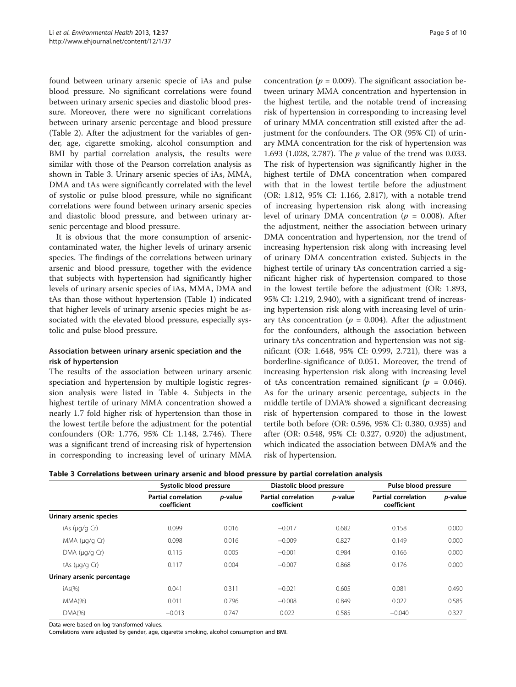found between urinary arsenic specie of iAs and pulse blood pressure. No significant correlations were found between urinary arsenic species and diastolic blood pressure. Moreover, there were no significant correlations between urinary arsenic percentage and blood pressure (Table [2\)](#page-3-0). After the adjustment for the variables of gender, age, cigarette smoking, alcohol consumption and BMI by partial correlation analysis, the results were similar with those of the Pearson correlation analysis as shown in Table 3. Urinary arsenic species of iAs, MMA, DMA and tAs were significantly correlated with the level of systolic or pulse blood pressure, while no significant correlations were found between urinary arsenic species and diastolic blood pressure, and between urinary arsenic percentage and blood pressure.

It is obvious that the more consumption of arseniccontaminated water, the higher levels of urinary arsenic species. The findings of the correlations between urinary arsenic and blood pressure, together with the evidence that subjects with hypertension had significantly higher levels of urinary arsenic species of iAs, MMA, DMA and tAs than those without hypertension (Table [1\)](#page-3-0) indicated that higher levels of urinary arsenic species might be associated with the elevated blood pressure, especially systolic and pulse blood pressure.

# Association between urinary arsenic speciation and the risk of hypertension

The results of the association between urinary arsenic speciation and hypertension by multiple logistic regression analysis were listed in Table [4](#page-5-0). Subjects in the highest tertile of urinary MMA concentration showed a nearly 1.7 fold higher risk of hypertension than those in the lowest tertile before the adjustment for the potential confounders (OR: 1.776, 95% CI: 1.148, 2.746). There was a significant trend of increasing risk of hypertension in corresponding to increasing level of urinary MMA

concentration ( $p = 0.009$ ). The significant association between urinary MMA concentration and hypertension in the highest tertile, and the notable trend of increasing risk of hypertension in corresponding to increasing level of urinary MMA concentration still existed after the adjustment for the confounders. The OR (95% CI) of urinary MMA concentration for the risk of hypertension was 1.693 (1.028, 2.787). The p value of the trend was 0.033. The risk of hypertension was significantly higher in the highest tertile of DMA concentration when compared with that in the lowest tertile before the adjustment (OR: 1.812, 95% CI: 1.166, 2.817), with a notable trend of increasing hypertension risk along with increasing level of urinary DMA concentration ( $p = 0.008$ ). After the adjustment, neither the association between urinary DMA concentration and hypertension, nor the trend of increasing hypertension risk along with increasing level of urinary DMA concentration existed. Subjects in the highest tertile of urinary tAs concentration carried a significant higher risk of hypertension compared to those in the lowest tertile before the adjustment (OR: 1.893, 95% CI: 1.219, 2.940), with a significant trend of increasing hypertension risk along with increasing level of urinary tAs concentration ( $p = 0.004$ ). After the adjustment for the confounders, although the association between urinary tAs concentration and hypertension was not significant (OR: 1.648, 95% CI: 0.999, 2.721), there was a borderline-significance of 0.051. Moreover, the trend of increasing hypertension risk along with increasing level of tAs concentration remained significant ( $p = 0.046$ ). As for the urinary arsenic percentage, subjects in the middle tertile of DMA% showed a significant decreasing risk of hypertension compared to those in the lowest tertile both before (OR: 0.596, 95% CI: 0.380, 0.935) and after (OR: 0.548, 95% CI: 0.327, 0.920) the adjustment, which indicated the association between DMA% and the risk of hypertension.

| Table 3 Correlations between urinary arsenic and blood pressure by partial correlation analysis |  |  |  |
|-------------------------------------------------------------------------------------------------|--|--|--|
|-------------------------------------------------------------------------------------------------|--|--|--|

|                            | Systolic blood pressure                   |         | Diastolic blood pressure                  |                 | Pulse blood pressure                      |         |
|----------------------------|-------------------------------------------|---------|-------------------------------------------|-----------------|-------------------------------------------|---------|
|                            | <b>Partial correlation</b><br>coefficient | p-value | <b>Partial correlation</b><br>coefficient | <i>p</i> -value | <b>Partial correlation</b><br>coefficient | p-value |
| Urinary arsenic species    |                                           |         |                                           |                 |                                           |         |
| iAs $(\mu q/q Cr)$         | 0.099                                     | 0.016   | $-0.017$                                  | 0.682           | 0.158                                     | 0.000   |
| MMA (µg/g Cr)              | 0.098                                     | 0.016   | $-0.009$                                  | 0.827           | 0.149                                     | 0.000   |
| DMA (uq/q Cr)              | 0.115                                     | 0.005   | $-0.001$                                  | 0.984           | 0.166                                     | 0.000   |
| tAs ( $\mu$ g/g Cr)        | 0.117                                     | 0.004   | $-0.007$                                  | 0.868           | 0.176                                     | 0.000   |
| Urinary arsenic percentage |                                           |         |                                           |                 |                                           |         |
| $iAs(\%)$                  | 0.041                                     | 0.311   | $-0.021$                                  | 0.605           | 0.081                                     | 0.490   |
| MMA(%)                     | 0.011                                     | 0.796   | $-0.008$                                  | 0.849           | 0.022                                     | 0.585   |
| $DMA(\%)$                  | $-0.013$                                  | 0.747   | 0.022                                     | 0.585           | $-0.040$                                  | 0.327   |
|                            |                                           |         |                                           |                 |                                           |         |

Data were based on log-transformed values.

Correlations were adjusted by gender, age, cigarette smoking, alcohol consumption and BMI.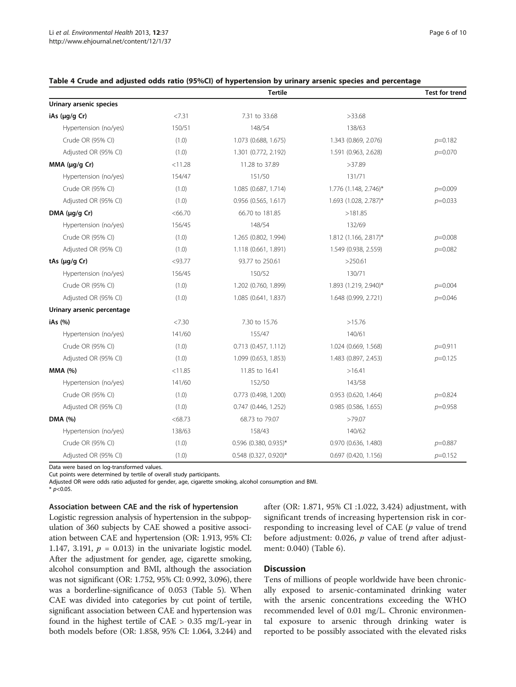#### <span id="page-5-0"></span>Table 4 Crude and adjusted odds ratio (95%CI) of hypertension by urinary arsenic species and percentage

|                            |           | <b>Tertile</b>          |                       | <b>Test for trend</b> |
|----------------------------|-----------|-------------------------|-----------------------|-----------------------|
| Urinary arsenic species    |           |                         |                       |                       |
| iAs ( $\mu$ g/g Cr)        | < 7.31    | 7.31 to 33.68           | >33.68                |                       |
| Hypertension (no/yes)      | 150/51    | 148/54                  | 138/63                |                       |
| Crude OR (95% CI)          | (1.0)     | 1.073 (0.688, 1.675)    | 1.343 (0.869, 2.076)  | $p=0.182$             |
| Adjusted OR (95% CI)       | (1.0)     | 1.301 (0.772, 2.192)    | 1.591 (0.963, 2.628)  | $p=0.070$             |
| MMA (µg/g Cr)              | < 11.28   | 11.28 to 37.89          | >37.89                |                       |
| Hypertension (no/yes)      | 154/47    | 151/50                  | 131/71                |                       |
| Crude OR (95% CI)          | (1.0)     | 1.085 (0.687, 1.714)    | 1.776 (1.148, 2.746)* | $p=0.009$             |
| Adjusted OR (95% CI)       | (1.0)     | 0.956 (0.565, 1.617)    | 1.693 (1.028, 2.787)* | $p=0.033$             |
| DMA ( $\mu$ g/g Cr)        | < 66.70   | 66.70 to 181.85         | >181.85               |                       |
| Hypertension (no/yes)      | 156/45    | 148/54                  | 132/69                |                       |
| Crude OR (95% CI)          | (1.0)     | 1.265 (0.802, 1.994)    | 1.812 (1.166, 2.817)* | $p=0.008$             |
| Adjusted OR (95% CI)       | (1.0)     | 1.118 (0.661, 1.891)    | 1.549 (0.938, 2.559)  | $p=0.082$             |
| tAs ( $\mu$ g/g Cr)        | $<$ 93.77 | 93.77 to 250.61         | >250.61               |                       |
| Hypertension (no/yes)      | 156/45    | 150/52                  | 130/71                |                       |
| Crude OR (95% CI)          | (1.0)     | 1.202 (0.760, 1.899)    | 1.893 (1.219, 2.940)* | $p=0.004$             |
| Adjusted OR (95% CI)       | (1.0)     | 1.085 (0.641, 1.837)    | 1.648 (0.999, 2.721)  | $p=0.046$             |
| Urinary arsenic percentage |           |                         |                       |                       |
| iAs (%)                    | < 7.30    | 7.30 to 15.76           | >15.76                |                       |
| Hypertension (no/yes)      | 141/60    | 155/47                  | 140/61                |                       |
| Crude OR (95% CI)          | (1.0)     | 0.713 (0.457, 1.112)    | 1.024 (0.669, 1.568)  | $p=0.911$             |
| Adjusted OR (95% CI)       | (1.0)     | 1.099 (0.653, 1.853)    | 1.483 (0.897, 2.453)  | $p=0.125$             |
| <b>MMA (%)</b>             | < 11.85   | 11.85 to 16.41          | >16.41                |                       |
| Hypertension (no/yes)      | 141/60    | 152/50                  | 143/58                |                       |
| Crude OR (95% CI)          | (1.0)     | 0.773 (0.498, 1.200)    | 0.953 (0.620, 1.464)  | $p=0.824$             |
| Adjusted OR (95% CI)       | (1.0)     | $0.747$ (0.446, 1.252)  | 0.985 (0.586, 1.655)  | $p=0.958$             |
| DMA (%)                    | < 68.73   | 68.73 to 79.07          | >79.07                |                       |
| Hypertension (no/yes)      | 138/63    | 158/43                  | 140/62                |                       |
| Crude OR (95% CI)          | (1.0)     | 0.596 (0.380, 0.935)*   | 0.970 (0.636, 1.480)  | $p=0.887$             |
| Adjusted OR (95% CI)       | (1.0)     | $0.548$ (0.327, 0.920)* | 0.697 (0.420, 1.156)  | $p=0.152$             |

Data were based on log-transformed values.

Cut points were determined by tertile of overall study participants.

Adjusted OR were odds ratio adjusted for gender, age, cigarette smoking, alcohol consumption and BMI.

 $*$  p<0.05.

#### Association between CAE and the risk of hypertension

Logistic regression analysis of hypertension in the subpopulation of 360 subjects by CAE showed a positive association between CAE and hypertension (OR: 1.913, 95% CI: 1.147, 3.191,  $p = 0.013$ ) in the univariate logistic model. After the adjustment for gender, age, cigarette smoking, alcohol consumption and BMI, although the association was not significant (OR: 1.752, 95% CI: 0.992, 3.096), there was a borderline-significance of 0.053 (Table [5\)](#page-6-0). When CAE was divided into categories by cut point of tertile, significant association between CAE and hypertension was found in the highest tertile of CAE > 0.35 mg/L-year in both models before (OR: 1.858, 95% CI: 1.064, 3.244) and after (OR: 1.871, 95% CI :1.022, 3.424) adjustment, with significant trends of increasing hypertension risk in corresponding to increasing level of CAE  $(p$  value of trend before adjustment:  $0.026$ ,  $p$  value of trend after adjustment: 0.040) (Table [6](#page-6-0)).

#### **Discussion**

Tens of millions of people worldwide have been chronically exposed to arsenic-contaminated drinking water with the arsenic concentrations exceeding the WHO recommended level of 0.01 mg/L. Chronic environmental exposure to arsenic through drinking water is reported to be possibly associated with the elevated risks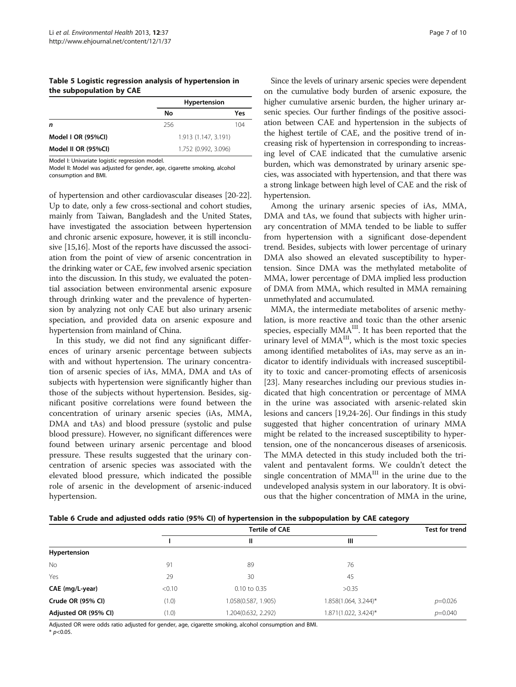<span id="page-6-0"></span>

|                          | Table 5 Logistic regression analysis of hypertension in |
|--------------------------|---------------------------------------------------------|
| the subpopulation by CAE |                                                         |

|                     | Hypertension         |     |  |
|---------------------|----------------------|-----|--|
|                     | No                   | Yes |  |
| n                   | 256                  | 104 |  |
| Model I OR (95%CI)  | 1.913 (1.147, 3.191) |     |  |
| Model II OR (95%CI) | 1.752 (0.992, 3.096) |     |  |

Model I: Univariate logistic regression model.

Model II: Model was adjusted for gender, age, cigarette smoking, alcohol consumption and BMI.

of hypertension and other cardiovascular diseases [[20](#page-8-0)-[22](#page-8-0)]. Up to date, only a few cross-sectional and cohort studies, mainly from Taiwan, Bangladesh and the United States, have investigated the association between hypertension and chronic arsenic exposure, however, it is still inconclusive [\[15,16\]](#page-8-0). Most of the reports have discussed the association from the point of view of arsenic concentration in the drinking water or CAE, few involved arsenic speciation into the discussion. In this study, we evaluated the potential association between environmental arsenic exposure through drinking water and the prevalence of hypertension by analyzing not only CAE but also urinary arsenic speciation, and provided data on arsenic exposure and hypertension from mainland of China.

In this study, we did not find any significant differences of urinary arsenic percentage between subjects with and without hypertension. The urinary concentration of arsenic species of iAs, MMA, DMA and tAs of subjects with hypertension were significantly higher than those of the subjects without hypertension. Besides, significant positive correlations were found between the concentration of urinary arsenic species (iAs, MMA, DMA and tAs) and blood pressure (systolic and pulse blood pressure). However, no significant differences were found between urinary arsenic percentage and blood pressure. These results suggested that the urinary concentration of arsenic species was associated with the elevated blood pressure, which indicated the possible role of arsenic in the development of arsenic-induced hypertension.

Since the levels of urinary arsenic species were dependent on the cumulative body burden of arsenic exposure, the higher cumulative arsenic burden, the higher urinary arsenic species. Our further findings of the positive association between CAE and hypertension in the subjects of the highest tertile of CAE, and the positive trend of increasing risk of hypertension in corresponding to increasing level of CAE indicated that the cumulative arsenic burden, which was demonstrated by urinary arsenic species, was associated with hypertension, and that there was a strong linkage between high level of CAE and the risk of hypertension.

Among the urinary arsenic species of iAs, MMA, DMA and tAs, we found that subjects with higher urinary concentration of MMA tended to be liable to suffer from hypertension with a significant dose-dependent trend. Besides, subjects with lower percentage of urinary DMA also showed an elevated susceptibility to hypertension. Since DMA was the methylated metabolite of MMA, lower percentage of DMA implied less production of DMA from MMA, which resulted in MMA remaining unmethylated and accumulated.

MMA, the intermediate metabolites of arsenic methylation, is more reactive and toxic than the other arsenic species, especially MMA<sup>III</sup>. It has been reported that the urinary level of  $MMA<sup>III</sup>$ , which is the most toxic species among identified metabolites of iAs, may serve as an indicator to identify individuals with increased susceptibility to toxic and cancer-promoting effects of arsenicosis [[23\]](#page-8-0). Many researches including our previous studies indicated that high concentration or percentage of MMA in the urine was associated with arsenic-related skin lesions and cancers [[19,24-26\]](#page-8-0). Our findings in this study suggested that higher concentration of urinary MMA might be related to the increased susceptibility to hypertension, one of the noncancerous diseases of arsenicosis. The MMA detected in this study included both the trivalent and pentavalent forms. We couldn't detect the single concentration of MMA<sup>III</sup> in the urine due to the undeveloped analysis system in our laboratory. It is obvious that the higher concentration of MMA in the urine,

|  |  | Table 6 Crude and adjusted odds ratio (95% CI) of hypertension in the subpopulation by CAE category |
|--|--|-----------------------------------------------------------------------------------------------------|
|--|--|-----------------------------------------------------------------------------------------------------|

| <b>Tertile of CAE</b> | <b>Test for trend</b>                                      |
|-----------------------|------------------------------------------------------------|
| Ш                     | Ш                                                          |
|                       |                                                            |
| 89                    | 76                                                         |
| 30                    | 45                                                         |
|                       | >0.35                                                      |
|                       | 1.858(1.064, 3.244)*<br>$p=0.026$                          |
|                       | 1.871(1.022, 3.424)*<br>$p=0.040$                          |
|                       | 0.10 to 0.35<br>1.058(0.587, 1.905)<br>1.204(0.632, 2.292) |

Adjusted OR were odds ratio adjusted for gender, age, cigarette smoking, alcohol consumption and BMI.

 $*$  p<0.05.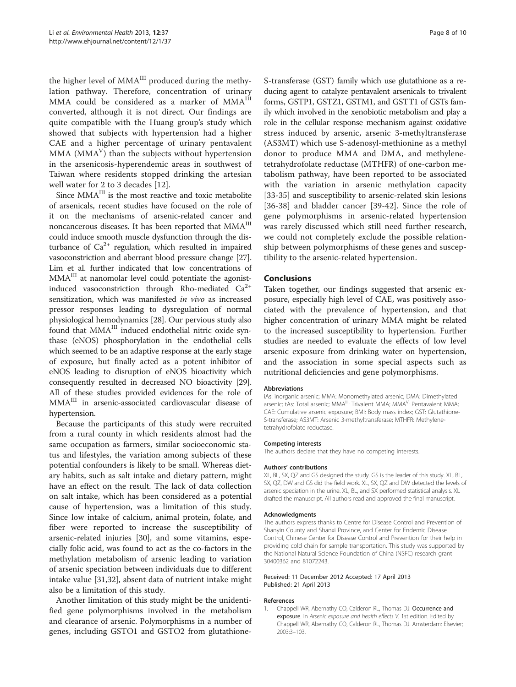<span id="page-7-0"></span>the higher level of MMA<sup>III</sup> produced during the methylation pathway. Therefore, concentration of urinary MMA could be considered as a marker of MMA<sup>III</sup> converted, although it is not direct. Our findings are quite compatible with the Huang group's study which showed that subjects with hypertension had a higher CAE and a higher percentage of urinary pentavalent MMA ( $MMA<sup>V</sup>$ ) than the subjects without hypertension in the arsenicosis-hyperendemic areas in southwest of Taiwan where residents stopped drinking the artesian well water for 2 to 3 decades [\[12](#page-8-0)].

Since MMA<sup>III</sup> is the most reactive and toxic metabolite of arsenicals, recent studies have focused on the role of it on the mechanisms of arsenic-related cancer and noncancerous diseases. It has been reported that MMAIII could induce smooth muscle dysfunction through the disturbance of  $Ca^{2+}$  regulation, which resulted in impaired vasoconstriction and aberrant blood pressure change [[27](#page-8-0)]. Lim et al. further indicated that low concentrations of MMA<sup>III</sup> at nanomolar level could potentiate the agonistinduced vasoconstriction through Rho-mediated  $Ca^{2+}$ sensitization, which was manifested in vivo as increased pressor responses leading to dysregulation of normal physiological hemodynamics [\[28\]](#page-8-0). Our pervious study also found that  $MMA<sup>III</sup>$  induced endothelial nitric oxide synthase (eNOS) phosphorylation in the endothelial cells which seemed to be an adaptive response at the early stage of exposure, but finally acted as a potent inhibitor of eNOS leading to disruption of eNOS bioactivity which consequently resulted in decreased NO bioactivity [[29](#page-8-0)]. All of these studies provided evidences for the role of MMAIII in arsenic-associated cardiovascular disease of hypertension.

Because the participants of this study were recruited from a rural county in which residents almost had the same occupation as farmers, similar socioeconomic status and lifestyles, the variation among subjects of these potential confounders is likely to be small. Whereas dietary habits, such as salt intake and dietary pattern, might have an effect on the result. The lack of data collection on salt intake, which has been considered as a potential cause of hypertension, was a limitation of this study. Since low intake of calcium, animal protein, folate, and fiber were reported to increase the susceptibility of arsenic-related injuries [\[30\]](#page-8-0), and some vitamins, especially folic acid, was found to act as the co-factors in the methylation metabolism of arsenic leading to variation of arsenic speciation between individuals due to different intake value [\[31,32\]](#page-8-0), absent data of nutrient intake might also be a limitation of this study.

Another limitation of this study might be the unidentified gene polymorphisms involved in the metabolism and clearance of arsenic. Polymorphisms in a number of genes, including GSTO1 and GSTO2 from glutathione-

S-transferase (GST) family which use glutathione as a reducing agent to catalyze pentavalent arsenicals to trivalent forms, GSTP1, GSTZ1, GSTM1, and GSTT1 of GSTs family which involved in the xenobiotic metabolism and play a role in the cellular response mechanism against oxidative stress induced by arsenic, arsenic 3-methyltransferase (AS3MT) which use S-adenosyl-methionine as a methyl donor to produce MMA and DMA, and methylenetetrahydrofolate reductase (MTHFR) of one-carbon metabolism pathway, have been reported to be associated with the variation in arsenic methylation capacity [[33](#page-8-0)-[35\]](#page-8-0) and susceptibility to arsenic-related skin lesions [[36-38\]](#page-8-0) and bladder cancer [[39-](#page-8-0)[42\]](#page-9-0). Since the role of gene polymorphisms in arsenic-related hypertension was rarely discussed which still need further research, we could not completely exclude the possible relationship between polymorphisms of these genes and susceptibility to the arsenic-related hypertension.

#### **Conclusions**

Taken together, our findings suggested that arsenic exposure, especially high level of CAE, was positively associated with the prevalence of hypertension, and that higher concentration of urinary MMA might be related to the increased susceptibility to hypertension. Further studies are needed to evaluate the effects of low level arsenic exposure from drinking water on hypertension, and the association in some special aspects such as nutritional deficiencies and gene polymorphisms.

#### Abbreviations

iAs: inorganic arsenic; MMA: Monomethylated arsenic; DMA: Dimethylated arsenic; tAs: Total arsenic; MMA<sup>III</sup>: Trivalent MMA; MMA<sup>V</sup>: Pentavalent MMA CAE: Cumulative arsenic exposure; BMI: Body mass index; GST: Glutathione-S-transferase; AS3MT: Arsenic 3-methyltransferase; MTHFR: Methylenetetrahydrofolate reductase.

#### Competing interests

The authors declare that they have no competing interests.

#### Authors' contributions

XL, BL, SX, QZ and GS designed the study. GS is the leader of this study. XL, BL, SX, QZ, DW and GS did the field work. XL, SX, QZ and DW detected the levels of arsenic speciation in the urine. XL, BL, and SX performed statistical analysis. XL drafted the manuscript. All authors read and approved the final manuscript.

#### Acknowledgments

The authors express thanks to Centre for Disease Control and Prevention of Shanyin County and Shanxi Province, and Center for Endemic Disease Control, Chinese Center for Disease Control and Prevention for their help in providing cold chain for sample transportation. This study was supported by the National Natural Science Foundation of China (NSFC) research grant 30400362 and 81072243.

#### Received: 11 December 2012 Accepted: 17 April 2013 Published: 21 April 2013

#### References

1. Chappell WR, Abernathy CO, Calderon RL, Thomas DJ: Occurrence and exposure. In Arsenic exposure and health effects V. 1st edition. Edited by Chappell WR, Abernathy CO, Calderon RL, Thomas DJ. Amsterdam: Elsevier; 2003:3–103.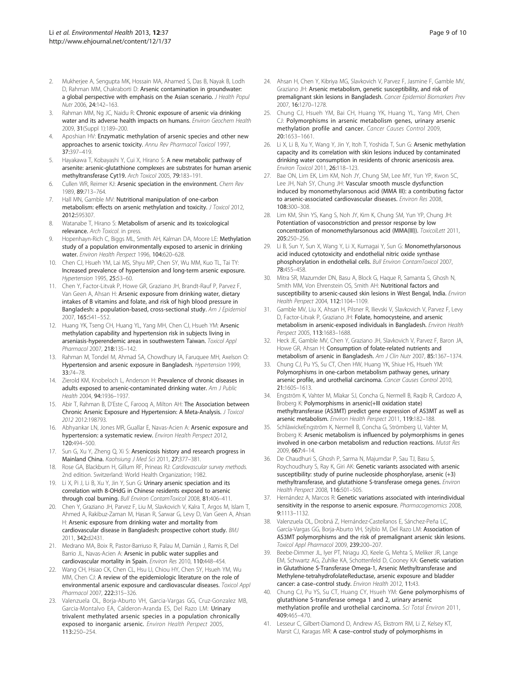- <span id="page-8-0"></span>2. Mukherjee A, Sengupta MK, Hossain MA, Ahamed S, Das B, Nayak B, Lodh D, Rahman MM, Chakraborti D: Arsenic contamination in groundwater: a global perspective with emphasis on the Asian scenario. J Health Popul Nutr 2006, 24:142–163.
- 3. Rahman MM, Ng JC, Naidu R: Chronic exposure of arsenic via drinking water and its adverse health impacts on humans. Environ Geochem Health 2009, 31(Suppl 1):189–200.
- Aposhian HV: Enzymatic methylation of arsenic species and other new approaches to arsenic toxicity. Annu Rev Pharmacol Toxicol 1997, 37:397–419.
- 5. Hayakawa T, Kobayashi Y, Cui X, Hirano S: A new metabolic pathway of arsenite: arsenic-glutathione complexes are substrates for human arsenic methyltransferase Cyt19. Arch Toxicol 2005, 79:183–191.
- 6. Cullen WR, Reimer KJ: Arsenic speciation in the environment. Chem Rev 1989, 89:713–764.
- 7. Hall MN, Gamble MV: Nutritional manipulation of one-carbon metabolism: effects on arsenic methylation and toxicity. J Toxicol 2012, 2012:595307.
- Watanabe T, Hirano S: Metabolism of arsenic and its toxicological relevance. Arch Toxicol. in press.
- 9. Hopenhayn-Rich C, Biggs ML, Smith AH, Kalman DA, Moore LE: Methylation study of a population environmentally exposed to arsenic in drinking water. Environ Health Perspect 1996, 104:620–628.
- 10. Chen CJ, Hsueh YM, Lai MS, Shyu MP, Chen SY, Wu MM, Kuo TL, Tai TY: Increased prevalence of hypertension and long-term arsenic exposure. Hypertension 1995, 25:53–60.
- 11. Chen Y, Factor-Litvak P, Howe GR, Graziano JH, Brandt-Rauf P, Parvez F, Van Geen A, Ahsan H: Arsenic exposure from drinking water, dietary intakes of B vitamins and folate, and risk of high blood pressure in Bangladesh: a population-based, cross-sectional study. Am J Epidemiol 2007, 165:541–552.
- 12. Huang YK, Tseng CH, Huang YL, Yang MH, Chen CJ, Hsueh YM: Arsenic methylation capability and hypertension risk in subjects living in arseniasis-hyperendemic areas in southwestern Taiwan. Toxicol Appl Pharmacol 2007, 218:135–142.
- 13. Rahman M, Tondel M, Ahmad SA, Chowdhury IA, Faruquee MH, Axelson O: Hypertension and arsenic exposure in Bangladesh. Hypertension 1999, 33:74–78.
- 14. Zierold KM, Knobeloch L, Anderson H: Prevalence of chronic diseases in adults exposed to arsenic-contaminated drinking water. Am J Public Health 2004, 94:1936–1937.
- 15. Abir T, Rahman B, D'Este C, Faroog A, Milton AH: The Association between Chronic Arsenic Exposure and Hypertension: A Meta-Analysis. J Toxicol 2012 2012:198793.
- 16. Abhyankar LN, Jones MR, Guallar E, Navas-Acien A: Arsenic exposure and hypertension: a systematic review. Environ Health Perspect 2012, 120:494–500.
- 17. Sun G, Xu Y, Zheng Q, Xi S: Arsenicosis history and research progress in Mainland China. Kaohsiung J Med Sci 2011, 27:377–381.
- 18. Rose GA, Blackburn H, Gillum RF, Prineas RJ: Cardiovascular survey methods. 2nd edition. Switzerland: World Health Organization; 1982.
- 19. Li X, Pi J, Li B, Xu Y, Jin Y, Sun G: Urinary arsenic speciation and its correlation with 8-OHdG in Chinese residents exposed to arsenic through coal burning. Bull Environ ContamToxicol 2008, 81:406–411.
- 20. Chen Y, Graziano JH, Parvez F, Liu M, Slavkovich V, Kalra T, Argos M, Islam T, Ahmed A, Rakibuz-Zaman M, Hasan R, Sarwar G, Levy D, Van Geen A, Ahsan H: Arsenic exposure from drinking water and mortality from cardiovascular disease in Bangladesh: prospective cohort study. BMJ 2011, 342:d2431.
- 21. Medrano MA, Boix R, Pastor-Barriuso R, Palau M, Damián J, Ramis R, Del Barrio JL, Navas-Acien A: Arsenic in public water supplies and cardiovascular mortality in Spain. Environ Res 2010, 110:448–454.
- 22. Wang CH, Hsiao CK, Chen CL, Hsu LI, Chiou HY, Chen SY, Hsueh YM, Wu MM, Chen CJ: A review of the epidemiologic literature on the role of environmental arsenic exposure and cardiovascular diseases. Toxicol Appl Pharmacol 2007, 222:315–326.
- 23. Valenzuela OL, Borja-Aburto VH, Garcia-Vargas GG, Cruz-Gonzalez MB, Garcia-Montalvo EA, Calderon-Aranda ES, Del Razo LM: Urinary trivalent methylated arsenic species in a population chronically exposed to inorganic arsenic. Environ Health Perspect 2005, 113:250–254.
- 24. Ahsan H, Chen Y, Kibriya MG, Slavkovich V, Parvez F, Jasmine F, Gamble MV, Graziano JH: Arsenic metabolism, genetic susceptibility, and risk of premalignant skin lesions in Bangladesh. Cancer Epidemiol Biomarkers Prev 2007, 16:1270–1278.
- 25. Chung CJ, Hsueh YM, Bai CH, Huang YK, Huang YL, Yang MH, Chen CJ: Polymorphisms in arsenic metabolism genes, urinary arsenic methylation profile and cancer. Cancer Causes Control 2009, 20:1653–1661.
- 26. Li X, Li B, Xu Y, Wang Y, Jin Y, Itoh T, Yoshida T, Sun G: Arsenic methylation capacity and its correlation with skin lesions induced by contaminated drinking water consumption in residents of chronic arsenicosis area. Environ Toxicol 2011, 26:118–123.
- 27. Bae ON, Lim EK, Lim KM, Noh JY, Chung SM, Lee MY, Yun YP, Kwon SC, Lee JH, Nah SY, Chung JH: Vascular smooth muscle dysfunction induced by monomethylarsonous acid (MMA III): a contributing factor to arsenic-associated cardiovascular diseases. Environ Res 2008, 108:300–308.
- Lim KM, Shin YS, Kang S, Noh JY, Kim K, Chung SM, Yun YP, Chung JH: Potentiation of vasoconstriction and pressor response by low concentration of monomethylarsonous acid (MMA(III)). ToxicolLett 2011, 205:250–256.
- 29. Li B, Sun Y, Sun X, Wang Y, Li X, Kumagai Y, Sun G: Monomethylarsonous acid induced cytotoxicity and endothelial nitric oxide synthase phosphorylation in endothelial cells. Bull Environ ContamToxicol 2007, 78:455–458.
- 30. Mitra SR, Mazumder DN, Basu A, Block G, Haque R, Samanta S, Ghosh N, Smith MM, Von Ehrenstein OS, Smith AH: Nutritional factors and susceptibility to arsenic-caused skin lesions in West Bengal, India. Environ Health Perspect 2004, 112:1104–1109.
- 31. Gamble MV, Liu X, Ahsan H, Pilsner R, Ilievski V, Slavkovich V, Parvez F, Levy D, Factor-Litvak P, Graziano JH: Folate, homocysteine, and arsenic metabolism in arsenic-exposed individuals in Bangladesh. Environ Health Perspect 2005, 113:1683–1688.
- 32. Heck JE, Gamble MV, Chen Y, Graziano JH, Slavkovich V, Parvez F, Baron JA, Howe GR, Ahsan H: Consumption of folate-related nutrients and metabolism of arsenic in Bangladesh. Am J Clin Nutr 2007, 85:1367–1374.
- 33. Chung CJ, Pu YS, Su CT, Chen HW, Huang YK, Shiue HS, Hsueh YM: Polymorphisms in one-carbon metabolism pathway genes, urinary arsenic profile, and urothelial carcinoma. Cancer Causes Control 2010, 21:1605–1613.
- 34. Engström K, Vahter M, Mlakar SJ, Concha G, Nermell B, Raqib R, Cardozo A, Broberg K: Polymorphisms in arsenic(+III oxidation state) methyltransferase (AS3MT) predict gene expression of AS3MT as well as arsenic metabolism. Environ Health Perspect 2011, 119:182–188.
- 35. SchläwickeEngström K, Nermell B, Concha G, Strömberg U, Vahter M, Broberg K: Arsenic metabolism is influenced by polymorphisms in genes involved in one-carbon metabolism and reduction reactions. Mutat Res 2009, 667:4–14.
- 36. De Chaudhuri S, Ghosh P, Sarma N, Majumdar P, Sau TJ, Basu S, Roychoudhury S, Ray K, Giri AK: Genetic variants associated with arsenic susceptibility: study of purine nucleoside phosphorylase, arsenic (+3) methyltransferase, and glutathione S-transferase omega genes. Environ Health Perspect 2008, 116:501-505.
- 37. Hernández A, Marcos R: Genetic variations associated with interindividual sensitivity in the response to arsenic exposure. Pharmacogenomics 2008, 9:1113–1132.
- 38. Valenzuela OL, Drobná Z, Hernández-Castellanos E, Sánchez-Peña LC, García-Vargas GG, Borja-Aburto VH, Stýblo M, Del Razo LM: Association of AS3MT polymorphisms and the risk of premalignant arsenic skin lesions. Toxicol Appl Pharmacol 2009, 239:200-207.
- 39. Beebe-Dimmer JL, Iyer PT, Nriagu JO, Keele G, Mehta S, Meliker JR, Lange EM, Schwartz AG, Zuhlke KA, Schottenfeld D, Cooney KA: Genetic variation in Glutathione S-Transferase Omega-1, Arsenic Methyltransferase and Methylene-tetrahydrofolateReductase, arsenic exposure and bladder cancer: a case–control study. Environ Health 2012, 11:43.
- 40. Chung CJ, Pu YS, Su CT, Huang CY, Hsueh YM: Gene polymorphisms of glutathione S-transferase omega 1 and 2, urinary arsenic methylation profile and urothelial carcinoma. Sci Total Environ 2011, 409:465–470.
- 41. Lesseur C, Gilbert-Diamond D, Andrew AS, Ekstrom RM, Li Z, Kelsey KT, Marsit CJ, Karagas MR: A case–control study of polymorphisms in